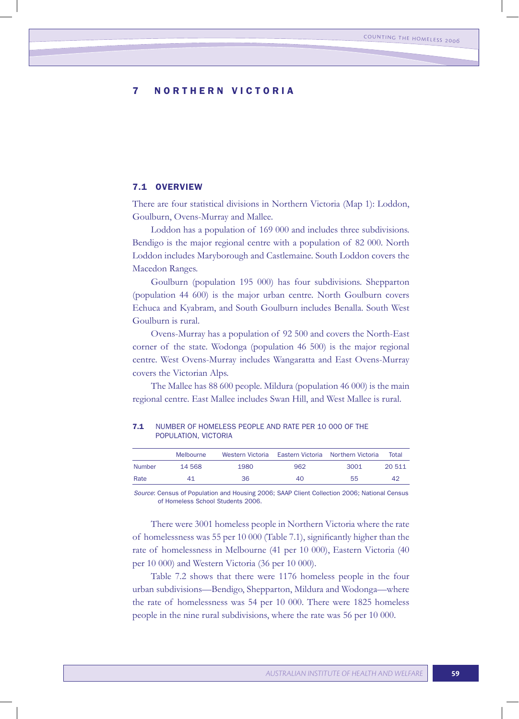# 7 NORTHERN VICTORIA

## 7.1 Overview

There are four statistical divisions in Northern Victoria (Map 1): Loddon, Goulburn, Ovens-Murray and Mallee.

Loddon has a population of 169 000 and includes three subdivisions. Bendigo is the major regional centre with a population of 82 000. North Loddon includes Maryborough and Castlemaine. South Loddon covers the Macedon Ranges.

Goulburn (population 195 000) has four subdivisions. Shepparton (population 44 600) is the major urban centre. North Goulburn covers Echuca and Kyabram, and South Goulburn includes Benalla. South West Goulburn is rural.

Ovens-Murray has a population of 92 500 and covers the North-East corner of the state. Wodonga (population 46 500) is the major regional centre. West Ovens-Murray includes Wangaratta and East Ovens-Murray covers the Victorian Alps.

The Mallee has 88 600 people. Mildura (population 46 000) is the main regional centre. East Mallee includes Swan Hill, and West Mallee is rural.

|               | Melbourne |      |     | Western Victoria Eastern Victoria Northern Victoria | Total  |
|---------------|-----------|------|-----|-----------------------------------------------------|--------|
| <b>Number</b> | 14 568    | 1980 | 962 | 3001                                                | 20 511 |
| Rate          | 41        | 36   | 40  | 55                                                  | 42     |

7.1 NUMBER OF HOMELESS PEOPLE AND RATE PER 10 000 OF THE POPULATION, VICTORIA

*Source*: Census of Population and Housing 2006; SAAP Client Collection 2006; National Census of Homeless School Students 2006.

There were 3001 homeless people in Northern Victoria where the rate of homelessness was 55 per 10 000 (Table 7.1), significantly higher than the rate of homelessness in Melbourne (41 per 10 000), Eastern Victoria (40 per 10 000) and Western Victoria (36 per 10 000).

Table 7.2 shows that there were 1176 homeless people in the four urban subdivisions—Bendigo, Shepparton, Mildura and Wodonga—where the rate of homelessness was 54 per 10 000. There were 1825 homeless people in the nine rural subdivisions, where the rate was 56 per 10 000.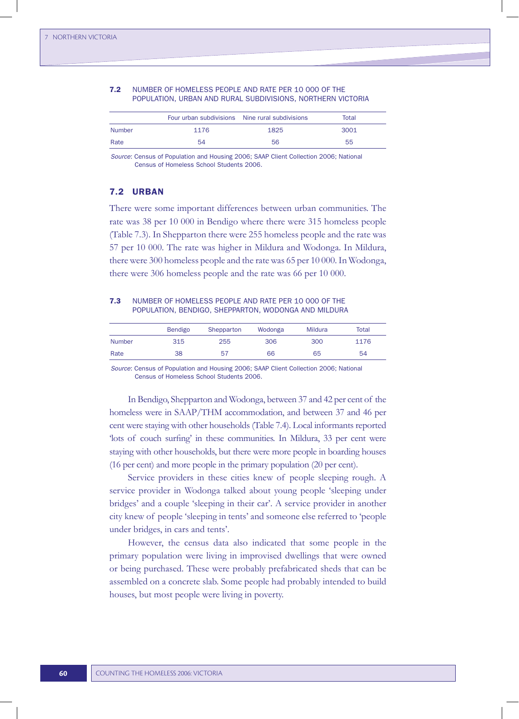|               | Four urban subdivisions Nine rural subdivisions |      | Total |
|---------------|-------------------------------------------------|------|-------|
| <b>Number</b> | 1176                                            | 1825 | 3001  |
| Rate          | 54                                              | 56   | 55    |

## 7.2 NUMBER OF HOMELESS PEOPLE AND RATE PER 10 000 OF THE POPULATION, URBAN AND RURAL SUBDIVISIONS, NORTHERN VICTORIA

*Source*: Census of Population and Housing 2006; SAAP Client Collection 2006; National Census of Homeless School Students 2006.

## 7.2 URBAN

There were some important differences between urban communities. The rate was 38 per 10 000 in Bendigo where there were 315 homeless people (Table 7.3). In Shepparton there were 255 homeless people and the rate was 57 per 10 000. The rate was higher in Mildura and Wodonga. In Mildura, there were 300 homeless people and the rate was 65 per 10 000. In Wodonga, there were 306 homeless people and the rate was 66 per 10 000.

## 7.3 NUMBER OF HOMELESS PEOPLE AND RATE PER 10 000 OF THE POPULATION, BENDIGO, SHEPPARTON, WODONGA AND MILDURA

|        | Bendigo | Shepparton | Wodonga | <b>Mildura</b> | Total |
|--------|---------|------------|---------|----------------|-------|
| Number | 315     | 255        | 306     | 300            | 1176  |
| Rate   | 38      | 57         | 66      | 65             | 54    |

*Source*: Census of Population and Housing 2006; SAAP Client Collection 2006; National Census of Homeless School Students 2006.

In Bendigo, Shepparton and Wodonga, between 37 and 42 per cent of the homeless were in SAAP/THM accommodation, and between 37 and 46 per cent were staying with other households (Table 7.4). Local informants reported 'lots of couch surfing' in these communities. In Mildura, 33 per cent were staying with other households, but there were more people in boarding houses (16 per cent) and more people in the primary population (20 per cent).

Service providers in these cities knew of people sleeping rough. A service provider in Wodonga talked about young people 'sleeping under bridges' and a couple 'sleeping in their car'. A service provider in another city knew of people 'sleeping in tents' and someone else referred to 'people under bridges, in cars and tents'.

However, the census data also indicated that some people in the primary population were living in improvised dwellings that were owned or being purchased. These were probably prefabricated sheds that can be assembled on a concrete slab. Some people had probably intended to build houses, but most people were living in poverty.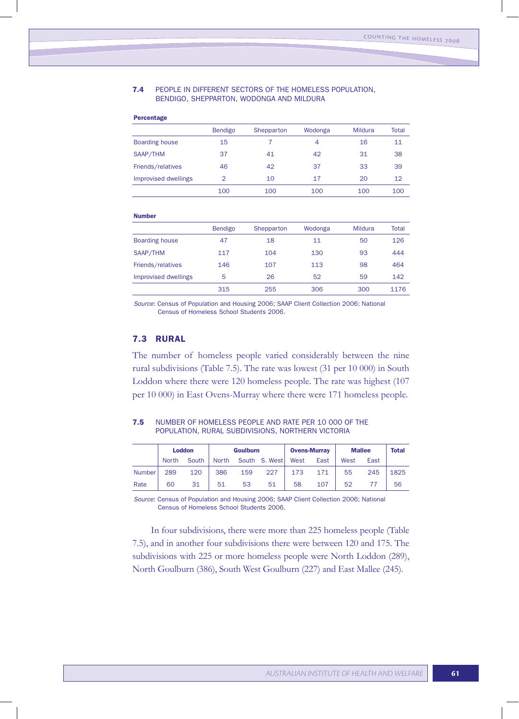#### 7.4 PEOPLE IN DIFFERENT SECTORS OF THE HOMELESS POPULATION, BENDIGO, SHEPPARTON, WODONGA AND MILDURA

| Percentage            |                |            |         |                |       |
|-----------------------|----------------|------------|---------|----------------|-------|
|                       | Bendigo        | Shepparton | Wodonga | <b>Mildura</b> | Total |
| <b>Boarding house</b> | 15             |            | 4       | 16             | 11    |
| SAAP/THM              | 37             | 41         | 42      | 31             | 38    |
| Friends/relatives     | 46             | 42         | 37      | 33             | 39    |
| Improvised dwellings  | $\overline{2}$ | 10         | 17      | 20             | 12    |
|                       | 100            | 100        | 100     | 100            | 100   |

#### Number

|                       | Bendigo | Shepparton | Wodonga | Mildura | Total |
|-----------------------|---------|------------|---------|---------|-------|
| <b>Boarding house</b> | 47      | 18         | 11      | 50      | 126   |
| SAAP/THM              | 117     | 104        | 130     | 93      | 444   |
| Friends/relatives     | 146     | 107        | 113     | 98      | 464   |
| Improvised dwellings  | 5       | 26         | 52      | 59      | 142   |
|                       | 315     | 255        | 306     | 300     | 1176  |

*Source*: Census of Population and Housing 2006; SAAP Client Collection 2006; National Census of Homeless School Students 2006.

## 7.3 RURAL

The number of homeless people varied considerably between the nine rural subdivisions (Table 7.5). The rate was lowest (31 per 10 000) in South Loddon where there were 120 homeless people. The rate was highest (107 per 10 000) in East Ovens-Murray where there were 171 homeless people.

## 7.5 NUMBER OF HOMELESS PEOPLE AND RATE PER 10 000 OF THE POPULATION, RURAL SUBDIVISIONS, NORTHERN VICTORIA

|               | <b>Loddon</b> |       | <b>Goulburn</b> |     |               | <b>Ovens-Murray</b> |      | <b>Mallee</b> |      | <b>Total</b> |
|---------------|---------------|-------|-----------------|-----|---------------|---------------------|------|---------------|------|--------------|
|               | <b>North</b>  | South | <b>North</b>    |     | South S. West | West                | East | West          | East |              |
| <b>Number</b> | 289           | 120   | 386             | 159 | 227           | 173                 | 171  | 55            | 245  | 1825         |
| Rate          | 60            | 31    | 51              | 53  | 51            | 58                  | 107  | 52            |      | 56           |

*Source*: Census of Population and Housing 2006; SAAP Client Collection 2006; National Census of Homeless School Students 2006.

In four subdivisions, there were more than 225 homeless people (Table 7.5), and in another four subdivisions there were between 120 and 175. The subdivisions with 225 or more homeless people were North Loddon (289), North Goulburn (386), South West Goulburn (227) and East Mallee (245).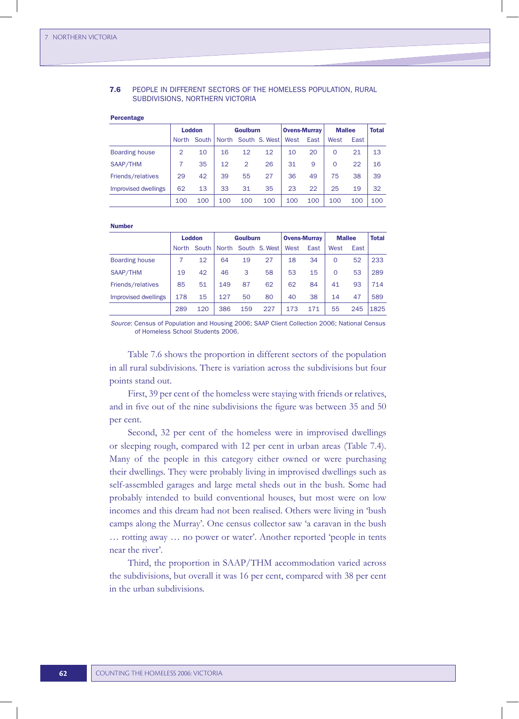### 7.6 PEOPLE IN DIFFERENT SECTORS OF THE HOMELESS POPULATION, RURAL SUBDIVISIONS, NORTHERN VICTORIA

Percentage

|                      | <b>Loddon</b> |             | <b>Goulburn</b> |     |                     | <b>Ovens-Murray</b> |      | <b>Mallee</b> |      | <b>Total</b> |
|----------------------|---------------|-------------|-----------------|-----|---------------------|---------------------|------|---------------|------|--------------|
|                      |               | North South |                 |     | North South S. West | West                | East | West          | East |              |
| Boarding house       | 2             | 10          | 16              | 12  | 12                  | 10                  | 20   | $\Omega$      | 21   | 13           |
| SAAP/THM             |               | 35          | 12              | 2   | 26                  | 31                  | 9    | $\Omega$      | 22   | 16           |
| Friends/relatives    | 29            | 42          | 39              | 55  | 27                  | 36                  | 49   | 75            | 38   | 39           |
| Improvised dwellings | 62            | 13          | 33              | 31  | 35                  | 23                  | 22   | 25            | 19   | 32           |
|                      | 100           | 100         | 100             | 100 | 100                 | 100                 | 100  | 100           | 100  | 100          |

#### **Number**

|                      | <b>Loddon</b> |     | <b>Goulburn</b> |     |                                   | <b>Ovens-Murray</b> |      | <b>Mallee</b> |      | Total |
|----------------------|---------------|-----|-----------------|-----|-----------------------------------|---------------------|------|---------------|------|-------|
|                      |               |     |                 |     | North South   North South S. West | West                | East | West          | East |       |
| Boarding house       |               | 12  | 64              | 19  | 27                                | 18                  | 34   | $\Omega$      | 52   | 233   |
| SAAP/THM             | 19            | 42  | 46              | 3   | 58                                | 53                  | 15   | $\Omega$      | 53   | 289   |
| Friends/relatives    | 85            | 51  | 149             | 87  | 62                                | 62                  | 84   | 41            | 93   | 714   |
| Improvised dwellings | 178           | 15  | 127             | 50  | 80                                | 40                  | 38   | 14            | 47   | 589   |
|                      | 289           | 120 | 386             | 159 | 227                               | 173                 | 171  | 55            | 245  | 1825  |

*Source*: Census of Population and Housing 2006; SAAP Client Collection 2006; National Census of Homeless School Students 2006.

Table 7.6 shows the proportion in different sectors of the population in all rural subdivisions. There is variation across the subdivisions but four points stand out.

First, 39 per cent of the homeless were staying with friends or relatives, and in five out of the nine subdivisions the figure was between 35 and 50 per cent.

Second, 32 per cent of the homeless were in improvised dwellings or sleeping rough, compared with 12 per cent in urban areas (Table 7.4). Many of the people in this category either owned or were purchasing their dwellings. They were probably living in improvised dwellings such as self-assembled garages and large metal sheds out in the bush. Some had probably intended to build conventional houses, but most were on low incomes and this dream had not been realised. Others were living in 'bush camps along the Murray'. One census collector saw 'a caravan in the bush … rotting away … no power or water'. Another reported 'people in tents near the river'.

Third, the proportion in SAAP/THM accommodation varied across the subdivisions, but overall it was 16 per cent, compared with 38 per cent in the urban subdivisions.